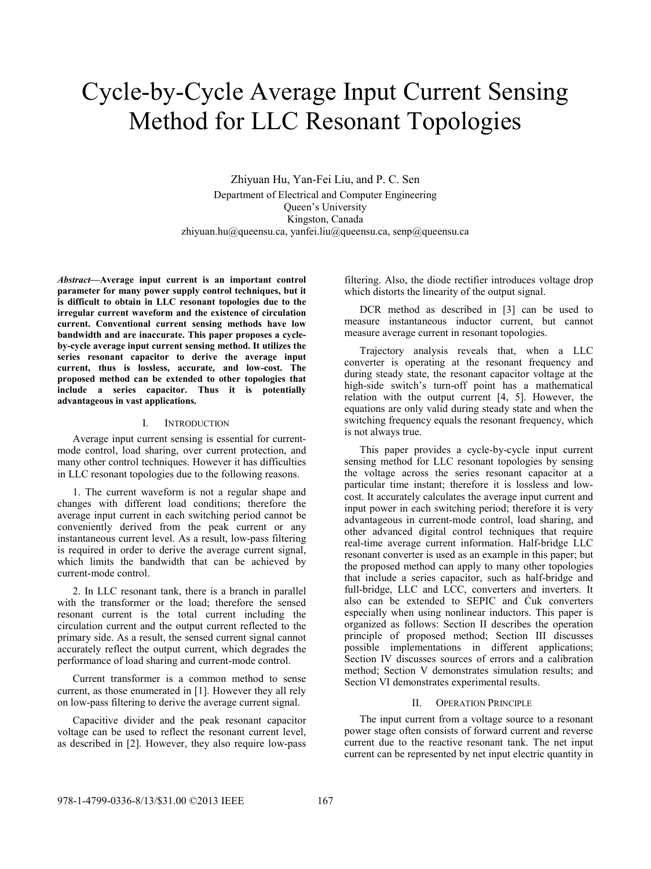# Cycle-by-Cycle Average Input Current Sensing Method for LLC Resonant Topologies

Zhiyuan Hu, Yan-Fei Liu, and P. C. Sen Department of Electrical and Computer Engineering Queen's University Kingston, Canada zhiyuan.hu@queensu.ca, yanfei.liu@queensu.ca, senp@queensu.ca

*Abstract***—Average input current is an important control parameter for many power supply control techniques, but it is difficult to obtain in LLC resonant topologies due to the irregular current waveform and the existence of circulation current. Conventional current sensing methods have low bandwidth and are inaccurate. This paper proposes a cycleby-cycle average input current sensing method. It utilizes the series resonant capacitor to derive the average input current, thus is lossless, accurate, and low-cost. The proposed method can be extended to other topologies that include a series capacitor. Thus it is potentially advantageous in vast applications.** 

## I. INTRODUCTION

Average input current sensing is essential for currentmode control, load sharing, over current protection, and many other control techniques. However it has difficulties in LLC resonant topologies due to the following reasons.

1. The current waveform is not a regular shape and changes with different load conditions; therefore the average input current in each switching period cannot be conveniently derived from the peak current or any instantaneous current level. As a result, low-pass filtering is required in order to derive the average current signal, which limits the bandwidth that can be achieved by current-mode control.

2. In LLC resonant tank, there is a branch in parallel with the transformer or the load; therefore the sensed resonant current is the total current including the circulation current and the output current reflected to the primary side. As a result, the sensed current signal cannot accurately reflect the output current, which degrades the performance of load sharing and current-mode control.

Current transformer is a common method to sense current, as those enumerated in [1]. However they all rely on low-pass filtering to derive the average current signal.

Capacitive divider and the peak resonant capacitor voltage can be used to reflect the resonant current level, as described in [2]. However, they also require low-pass filtering. Also, the diode rectifier introduces voltage drop which distorts the linearity of the output signal.

DCR method as described in [3] can be used to measure instantaneous inductor current, but cannot measure average current in resonant topologies.

Trajectory analysis reveals that, when a LLC converter is operating at the resonant frequency and during steady state, the resonant capacitor voltage at the high-side switch's turn-off point has a mathematical relation with the output current [4, 5]. However, the equations are only valid during steady state and when the switching frequency equals the resonant frequency, which is not always true.

This paper provides a cycle-by-cycle input current sensing method for LLC resonant topologies by sensing the voltage across the series resonant capacitor at a particular time instant; therefore it is lossless and lowcost. It accurately calculates the average input current and input power in each switching period; therefore it is very advantageous in current-mode control, load sharing, and other advanced digital control techniques that require real-time average current information. Half-bridge LLC resonant converter is used as an example in this paper; but the proposed method can apply to many other topologies that include a series capacitor, such as half-bridge and full-bridge, LLC and LCC, converters and inverters. It also can be extended to SEPIC and Ćuk converters especially when using nonlinear inductors. This paper is organized as follows: Section II describes the operation principle of proposed method; Section III discusses possible implementations in different applications; Section IV discusses sources of errors and a calibration method; Section V demonstrates simulation results; and Section VI demonstrates experimental results.

#### II. OPERATION PRINCIPLE

The input current from a voltage source to a resonant power stage often consists of forward current and reverse current due to the reactive resonant tank. The net input current can be represented by net input electric quantity in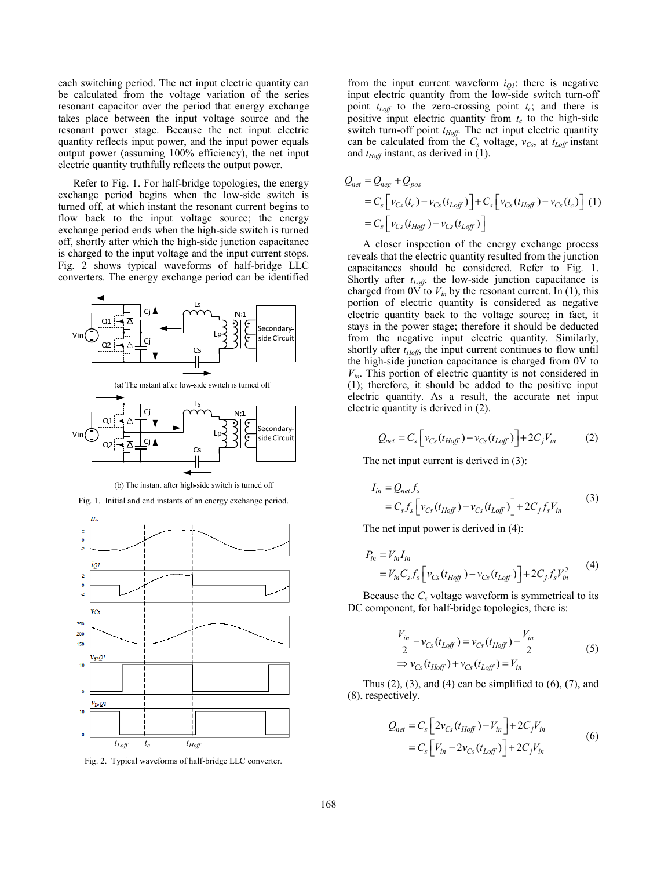each switching period. The net input electric quantity can be calculated from the voltage variation of the series resonant capacitor over the period that energy exchange takes place between the input voltage source and the resonant power stage. Because the net input electric quantity reflects input power, and the input power equals output power (assuming 100% efficiency), the net input electric quantity truthfully reflects the output power.

Refer to Fig. 1. For half-bridge topologies, the energy exchange period begins when the low-side switch is turned off, at which instant the resonant current begins to flow back to the input voltage source; the energy exchange period ends when the high-side switch is turned off, shortly after which the high-side junction capacitance is charged to the input voltage and the input current stops. Fig. 2 shows typical waveforms of half-bridge LLC converters. The energy exchange period can be identified





(b) The instant after high-side switch is turned off



Fig. 1. Initial and end instants of an energy exchange period.

Fig. 2. Typical waveforms of half-bridge LLC converter.

from the input current waveform  $i_{QI}$ : there is negative input electric quantity from the low-side switch turn-off point  $t_{\text{Loff}}$  to the zero-crossing point  $t_c$ ; and there is positive input electric quantity from  $t_c$  to the high-side switch turn-off point  $t_{Hoff}$ . The net input electric quantity can be calculated from the  $C_s$  voltage,  $v_{Cs}$ , at  $t_{Loff}$  instant and  $t_{Hoff}$  instant, as derived in (1).

$$
Q_{net} = Q_{neg} + Q_{pos}
$$
  
=  $C_s \left[ v_{Cs}(t_c) - v_{Cs}(t_{Loff}) \right] + C_s \left[ v_{Cs}(t_{Hoff}) - v_{Cs}(t_c) \right]$  (1)  
=  $C_s \left[ v_{Cs}(t_{Hoff}) - v_{Cs}(t_{Loff}) \right]$ 

A closer inspection of the energy exchange process reveals that the electric quantity resulted from the junction capacitances should be considered. Refer to Fig. 1. Shortly after  $t_{\text{Loff}}$ , the low-side junction capacitance is charged from  $0V$  to  $V_{in}$  by the resonant current. In (1), this portion of electric quantity is considered as negative electric quantity back to the voltage source; in fact, it stays in the power stage; therefore it should be deducted from the negative input electric quantity. Similarly, shortly after  $t_{Hoff}$ , the input current continues to flow until the high-side junction capacitance is charged from 0V to *Vin*. This portion of electric quantity is not considered in (1); therefore, it should be added to the positive input electric quantity. As a result, the accurate net input electric quantity is derived in (2).

$$
Q_{net} = C_s \left[ v_{Cs} (t_{Hoff}) - v_{Cs} (t_{Loff}) \right] + 2C_j V_{in}
$$
 (2)

The net input current is derived in (3):

$$
I_{in} = Q_{net} f_s
$$
  
=  $C_s f_s \Big[ v_{Cs} (t_{Hoff}) - v_{Cs} (t_{Loff}) \Big] + 2 C_j f_s V_{in}$  (3)

The net input power is derived in (4):

$$
P_{in} = V_{in}I_{in}
$$
  
=  $V_{in}C_s f_s \Big[ v_{Cs} (t_{Hoff}) - v_{Cs} (t_{Loff}) \Big] + 2C_j f_s V_{in}^2$  (4)

Because the  $C_s$  voltage waveform is symmetrical to its DC component, for half-bridge topologies, there is:

$$
\frac{V_{in}}{2} - \nu_{Cs}(t_{Loff}) = \nu_{Cs}(t_{Hoff}) - \frac{V_{in}}{2}
$$
\n
$$
\Rightarrow \nu_{Cs}(t_{Hoff}) + \nu_{Cs}(t_{Loff}) = V_{in}
$$
\n(5)

Thus  $(2)$ ,  $(3)$ , and  $(4)$  can be simplified to  $(6)$ ,  $(7)$ , and (8), respectively.

$$
Q_{net} = C_s \left[ 2v_{Cs}(t_{Hoff}) - V_{in} \right] + 2C_j V_{in}
$$
  
=  $C_s \left[ V_{in} - 2v_{Cs}(t_{Loff}) \right] + 2C_j V_{in}$  (6)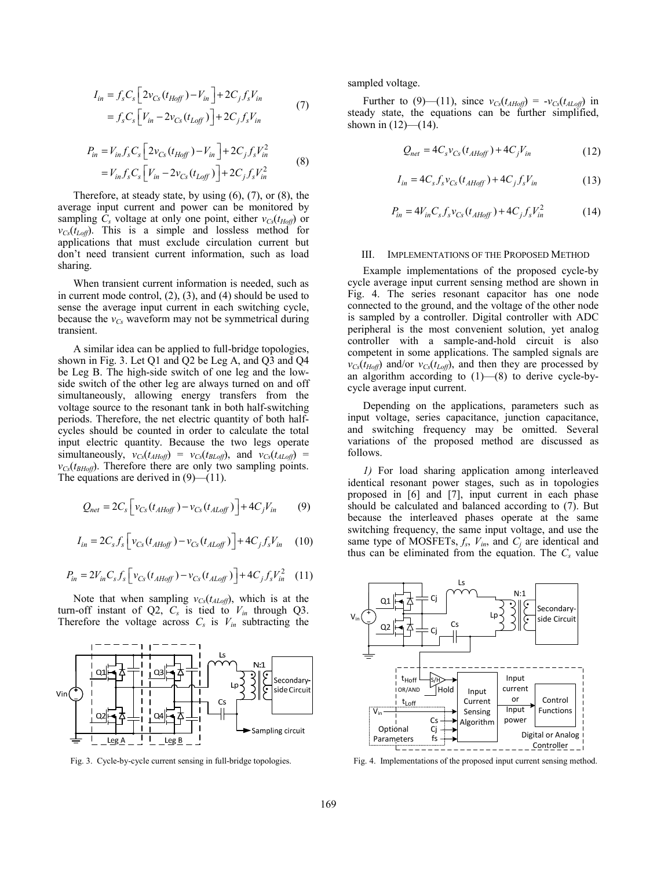$$
I_{in} = f_s C_s \left[ 2v_{Cs} (t_{Hoff}) - V_{in} \right] + 2C_j f_s V_{in}
$$
  
=  $f_s C_s \left[ V_{in} - 2v_{Cs} (t_{Loff}) \right] + 2C_j f_s V_{in}$  (7)

$$
P_{in} = V_{in} f_s C_s \left[ 2v_{Cs} (t_{Hoff}) - V_{in} \right] + 2C_j f_s V_{in}^2
$$
  
=  $V_{in} f_s C_s \left[ V_{in} - 2v_{Cs} (t_{Loff}) \right] + 2C_j f_s V_{in}^2$  (8)

Therefore, at steady state, by using  $(6)$ ,  $(7)$ , or  $(8)$ , the average input current and power can be monitored by sampling  $C_s$  voltage at only one point, either  $v_{Cs}(t_{Hoff})$  or  $v_{Cs}(t_{Loff})$ . This is a simple and lossless method for applications that must exclude circulation current but don't need transient current information, such as load sharing.

When transient current information is needed, such as in current mode control, (2), (3), and (4) should be used to sense the average input current in each switching cycle, because the  $v_{Cs}$  waveform may not be symmetrical during transient.

A similar idea can be applied to full-bridge topologies, shown in Fig. 3. Let Q1 and Q2 be Leg A, and Q3 and Q4 be Leg B. The high-side switch of one leg and the lowside switch of the other leg are always turned on and off simultaneously, allowing energy transfers from the voltage source to the resonant tank in both half-switching periods. Therefore, the net electric quantity of both halfcycles should be counted in order to calculate the total input electric quantity. Because the two legs operate simultaneously,  $v_{Cs}(t_{A H off}) = v_{Cs}(t_{B L off})$ , and  $v_{Cs}(t_{A L off}) =$  $v_{Cs}(t_{BHoff})$ . Therefore there are only two sampling points. The equations are derived in  $(9)$ — $(11)$ .

$$
Q_{net} = 2C_s \left[ v_{Cs} (t_{A Hoff}) - v_{Cs} (t_{A Loff}) \right] + 4C_j V_{in} \tag{9}
$$

$$
I_{in} = 2C_s f_s \Big[ v_{Cs} (t_{A H off}) - v_{Cs} (t_{A L off}) \Big] + 4C_j f_s V_{in} \quad (10)
$$

$$
P_{in} = 2V_{in}C_s f_s \left[ v_{Cs} (t_{A Hoff}) - v_{Cs} (t_{A Loff}) \right] + 4C_j f_s V_{in}^2 \quad (11)
$$

Note that when sampling  $v_{Cs}(t_{ALoff})$ , which is at the turn-off instant of Q2,  $C_s$  is tied to  $V_{in}$  through Q3. Therefore the voltage across  $C_s$  is  $V_{in}$  subtracting the



Fig. 3. Cycle-by-cycle current sensing in full-bridge topologies.

sampled voltage.

Further to (9)—(11), since  $v_{Cs}(t_{A H \circ f f}) = -v_{Cs}(t_{A L \circ f f})$  in steady state, the equations can be further simplified, shown in  $(12)$ — $(14)$ .

$$
Q_{net} = 4C_s v_{Cs} (t_{AHoff}) + 4C_j V_{in}
$$
 (12)

$$
I_{in} = 4C_s f_s v_{Cs} (t_{A Hoff}) + 4C_j f_s V_{in}
$$
 (13)

$$
P_{in} = 4V_{in}C_s f_s v_{Cs} (t_{A Hoff}) + 4C_j f_s V_{in}^2
$$
 (14)

## III. IMPLEMENTATIONS OF THE PROPOSED METHOD

Example implementations of the proposed cycle-by cycle average input current sensing method are shown in Fig. 4. The series resonant capacitor has one node connected to the ground, and the voltage of the other node is sampled by a controller. Digital controller with ADC peripheral is the most convenient solution, yet analog controller with a sample-and-hold circuit is also competent in some applications. The sampled signals are  $v_{Cs}(t_{Hoff})$  and/or  $v_{Cs}(t_{Loff})$ , and then they are processed by an algorithm according to  $(1)$ — $(8)$  to derive cycle-bycycle average input current.

Depending on the applications, parameters such as input voltage, series capacitance, junction capacitance, and switching frequency may be omitted. Several variations of the proposed method are discussed as follows.

*1)* For load sharing application among interleaved identical resonant power stages, such as in topologies proposed in [6] and [7], input current in each phase should be calculated and balanced according to (7). But because the interleaved phases operate at the same switching frequency, the same input voltage, and use the same type of MOSFETs,  $f_s$ ,  $V_{in}$ , and  $C_j$  are identical and thus can be eliminated from the equation. The  $C_s$  value



Fig. 4. Implementations of the proposed input current sensing method.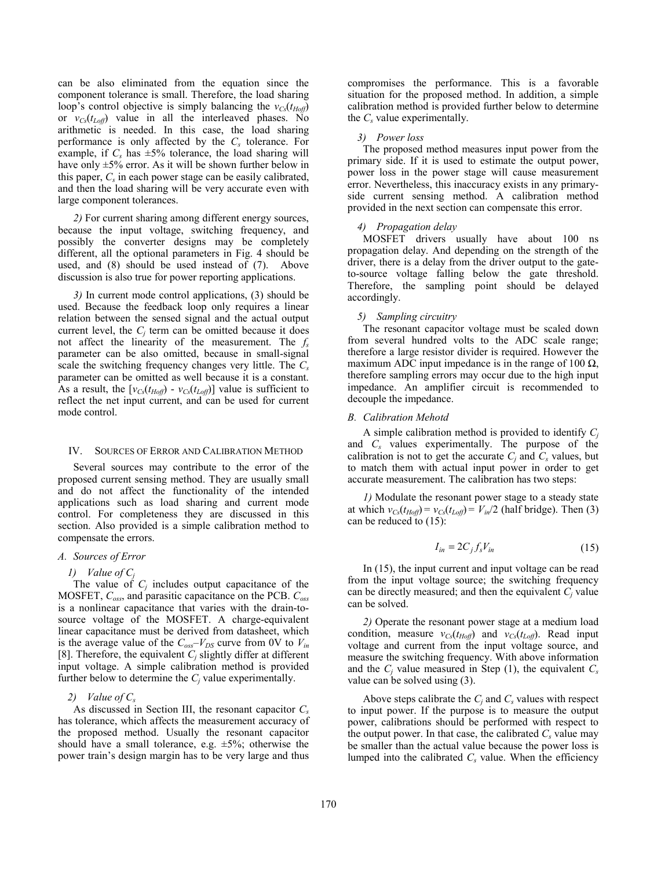can be also eliminated from the equation since the component tolerance is small. Therefore, the load sharing loop's control objective is simply balancing the  $v_{Cs}(t_{Hoff})$ or  $v_{Cs}(t_{Loff})$  value in all the interleaved phases. No arithmetic is needed. In this case, the load sharing performance is only affected by the  $C_s$  tolerance. For example, if  $C_s$  has  $\pm 5\%$  tolerance, the load sharing will have only  $\pm$ 5% error. As it will be shown further below in this paper, *Cs* in each power stage can be easily calibrated, and then the load sharing will be very accurate even with large component tolerances.

*2)* For current sharing among different energy sources, because the input voltage, switching frequency, and possibly the converter designs may be completely different, all the optional parameters in Fig. 4 should be used, and (8) should be used instead of (7). Above discussion is also true for power reporting applications.

*3)* In current mode control applications, (3) should be used. Because the feedback loop only requires a linear relation between the sensed signal and the actual output current level, the  $C_i$  term can be omitted because it does not affect the linearity of the measurement. The  $f_s$ parameter can be also omitted, because in small-signal scale the switching frequency changes very little. The *Cs* parameter can be omitted as well because it is a constant. As a result, the  $[v_{Cs}(t_{Hoff}) - v_{Cs}(t_{Loff})]$  value is sufficient to reflect the net input current, and can be used for current mode control.

## IV. SOURCES OF ERROR AND CALIBRATION METHOD

Several sources may contribute to the error of the proposed current sensing method. They are usually small and do not affect the functionality of the intended applications such as load sharing and current mode control. For completeness they are discussed in this section. Also provided is a simple calibration method to compensate the errors.

## *A. Sources of Error*

## *1) Value of Cj*

The value of  $C_j$  includes output capacitance of the MOSFET, *Coss*, and parasitic capacitance on the PCB. *Coss* is a nonlinear capacitance that varies with the drain-tosource voltage of the MOSFET. A charge-equivalent linear capacitance must be derived from datasheet, which is the average value of the  $C_{oss} - V_{DS}$  curve from 0V to  $V_{in}$ [8]. Therefore, the equivalent  $C_j$  slightly differ at different input voltage. A simple calibration method is provided further below to determine the  $C_i$  value experimentally.

#### *2) Value of Cs*

As discussed in Section III, the resonant capacitor *Cs* has tolerance, which affects the measurement accuracy of the proposed method. Usually the resonant capacitor should have a small tolerance, e.g.  $\pm 5\%$ ; otherwise the power train's design margin has to be very large and thus

compromises the performance. This is a favorable situation for the proposed method. In addition, a simple calibration method is provided further below to determine the  $C_s$  value experimentally.

#### *3) Power loss*

The proposed method measures input power from the primary side. If it is used to estimate the output power, power loss in the power stage will cause measurement error. Nevertheless, this inaccuracy exists in any primaryside current sensing method. A calibration method provided in the next section can compensate this error.

## *4) Propagation delay*

MOSFET drivers usually have about 100 ns propagation delay. And depending on the strength of the driver, there is a delay from the driver output to the gateto-source voltage falling below the gate threshold. Therefore, the sampling point should be delayed accordingly.

#### *5) Sampling circuitry*

The resonant capacitor voltage must be scaled down from several hundred volts to the ADC scale range; therefore a large resistor divider is required. However the maximum ADC input impedance is in the range of 100  $\Omega$ , therefore sampling errors may occur due to the high input impedance. An amplifier circuit is recommended to decouple the impedance.

#### *B. Calibration Mehotd*

A simple calibration method is provided to identify *Cj* and *Cs* values experimentally. The purpose of the calibration is not to get the accurate  $C_j$  and  $C_s$  values, but to match them with actual input power in order to get accurate measurement. The calibration has two steps:

*1)* Modulate the resonant power stage to a steady state at which  $v_{Cs}(t_{Hoff}) = v_{Cs}(t_{Loff}) = V_{in}/2$  (half bridge). Then (3) can be reduced to (15):

$$
I_{in} = 2C_j f_s V_{in} \tag{15}
$$

In (15), the input current and input voltage can be read from the input voltage source; the switching frequency can be directly measured; and then the equivalent  $C_i$  value can be solved.

*2)* Operate the resonant power stage at a medium load condition, measure  $v_{Cs}(t_{Hoff})$  and  $v_{Cs}(t_{Loff})$ . Read input voltage and current from the input voltage source, and measure the switching frequency. With above information and the  $C_i$  value measured in Step (1), the equivalent  $C_s$ value can be solved using (3).

Above steps calibrate the  $C_i$  and  $C_s$  values with respect to input power. If the purpose is to measure the output power, calibrations should be performed with respect to the output power. In that case, the calibrated  $C_s$  value may be smaller than the actual value because the power loss is lumped into the calibrated  $C_s$  value. When the efficiency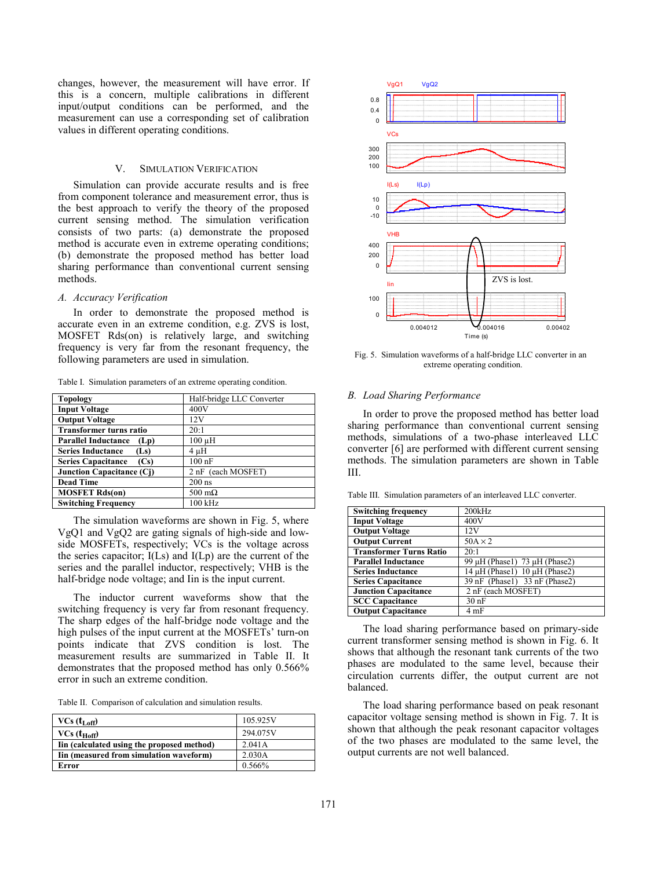changes, however, the measurement will have error. If this is a concern, multiple calibrations in different input/output conditions can be performed, and the measurement can use a corresponding set of calibration values in different operating conditions.

#### V. SIMULATION VERIFICATION

Simulation can provide accurate results and is free from component tolerance and measurement error, thus is the best approach to verify the theory of the proposed current sensing method. The simulation verification consists of two parts: (a) demonstrate the proposed method is accurate even in extreme operating conditions; (b) demonstrate the proposed method has better load sharing performance than conventional current sensing methods.

## *A. Accuracy Verification*

In order to demonstrate the proposed method is accurate even in an extreme condition, e.g. ZVS is lost, MOSFET Rds(on) is relatively large, and switching frequency is very far from the resonant frequency, the following parameters are used in simulation.

Table I. Simulation parameters of an extreme operating condition.

| <b>Topology</b>                    | Half-bridge LLC Converter |
|------------------------------------|---------------------------|
| <b>Input Voltage</b>               | 400V                      |
| <b>Output Voltage</b>              | 12V                       |
| <b>Transformer turns ratio</b>     | 20:1                      |
| <b>Parallel Inductance</b><br>(Lp) | $100 \mu H$               |
| <b>Series Inductance</b><br>(Ls)   | 4 uH                      |
| <b>Series Capacitance</b><br>(Cs)  | $100$ nF                  |
| <b>Junction Capacitance (Cj)</b>   | 2 nF (each MOSFET)        |
| <b>Dead Time</b>                   | $200$ ns                  |
| <b>MOSFET Rds(on)</b>              | 500 m $\Omega$            |
| <b>Switching Frequency</b>         | 100 kHz                   |

The simulation waveforms are shown in Fig. 5, where VgQ1 and VgQ2 are gating signals of high-side and lowside MOSFETs, respectively; VCs is the voltage across the series capacitor; I(Ls) and I(Lp) are the current of the series and the parallel inductor, respectively; VHB is the half-bridge node voltage; and Iin is the input current.

The inductor current waveforms show that the switching frequency is very far from resonant frequency. The sharp edges of the half-bridge node voltage and the high pulses of the input current at the MOSFETs' turn-on points indicate that ZVS condition is lost. The measurement results are summarized in Table II. It demonstrates that the proposed method has only 0.566% error in such an extreme condition.

Table II. Comparison of calculation and simulation results.

| VCs $(t_{\text{Loff}})$                    | 105.925V |
|--------------------------------------------|----------|
| $VCs(t_{Hoff})$                            | 294.075V |
| Iin (calculated using the proposed method) | 2.041A   |
| In (measured from simulation waveform)     | 2.030A   |
| Error                                      | 0.566%   |



Fig. 5. Simulation waveforms of a half-bridge LLC converter in an extreme operating condition.

## *B. Load Sharing Performance*

In order to prove the proposed method has better load sharing performance than conventional current sensing methods, simulations of a two-phase interleaved LLC converter [6] are performed with different current sensing methods. The simulation parameters are shown in Table III.

Table III. Simulation parameters of an interleaved LLC converter.

| <b>Switching frequency</b>     | 200kHz                        |
|--------------------------------|-------------------------------|
| <b>Input Voltage</b>           | 400V                          |
| <b>Output Voltage</b>          | 12V                           |
| <b>Output Current</b>          | $50A \times 2$                |
| <b>Transformer Turns Ratio</b> | 20:1                          |
| <b>Parallel Inductance</b>     | 99 µH (Phase1) 73 µH (Phase2) |
| <b>Series Inductance</b>       | 14 µH (Phase1) 10 µH (Phase2) |
| <b>Series Capacitance</b>      | 39 nF (Phase1) 33 nF (Phase2) |
| <b>Junction Capacitance</b>    | 2 nF (each MOSFET)            |
| <b>SCC Capacitance</b>         | $30$ nF                       |
| <b>Output Capacitance</b>      | $4 \text{ mF}$                |

The load sharing performance based on primary-side current transformer sensing method is shown in Fig. 6. It shows that although the resonant tank currents of the two phases are modulated to the same level, because their circulation currents differ, the output current are not balanced.

The load sharing performance based on peak resonant capacitor voltage sensing method is shown in Fig. 7. It is shown that although the peak resonant capacitor voltages of the two phases are modulated to the same level, the output currents are not well balanced.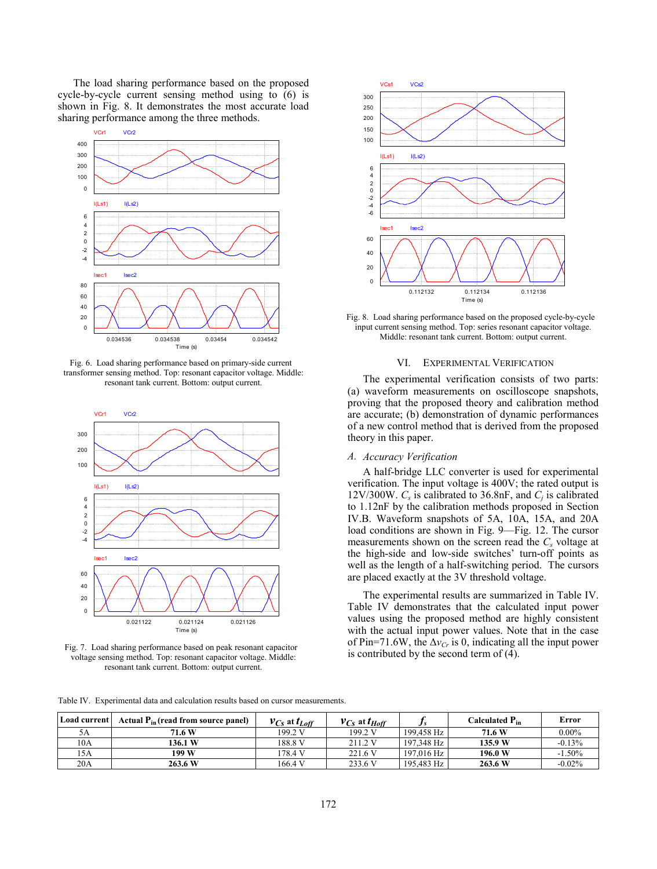The load sharing performance based on the proposed cycle-by-cycle current sensing method using to (6) is shown in Fig. 8. It demonstrates the most accurate load sharing performance among the three methods.



Fig. 6. Load sharing performance based on primary-side current transformer sensing method. Top: resonant capacitor voltage. Middle: resonant tank current. Bottom: output current.



Fig. 7. Load sharing performance based on peak resonant capacitor voltage sensing method. Top: resonant capacitor voltage. Middle: resonant tank current. Bottom: output current.



Fig. 8. Load sharing performance based on the proposed cycle-by-cycle input current sensing method. Top: series resonant capacitor voltage. Middle: resonant tank current. Bottom: output current.

## VI. EXPERIMENTAL VERIFICATION

The experimental verification consists of two parts: (a) waveform measurements on oscilloscope snapshots, proving that the proposed theory and calibration method are accurate; (b) demonstration of dynamic performances of a new control method that is derived from the proposed theory in this paper.

## *A. Accuracy Verification*

A half-bridge LLC converter is used for experimental verification. The input voltage is 400V; the rated output is 12V/300W.  $C_s$  is calibrated to 36.8nF, and  $C_i$  is calibrated to 1.12nF by the calibration methods proposed in Section IV.B. Waveform snapshots of 5A, 10A, 15A, and 20A load conditions are shown in Fig. 9—Fig. 12. The cursor measurements shown on the screen read the  $C_s$  voltage at the high-side and low-side switches' turn-off points as well as the length of a half-switching period. The cursors are placed exactly at the 3V threshold voltage.

The experimental results are summarized in Table IV. Table IV demonstrates that the calculated input power values using the proposed method are highly consistent with the actual input power values. Note that in the case of Pin=71.6W, the  $\Delta v_{Cr}$  is 0, indicating all the input power is contributed by the second term of (4).

Table IV. Experimental data and calculation results based on cursor measurements.

| Load current | Actual $P_{in}$ (read from source panel) | $v_{Cs}$ at $t_{Loff}$ | $v_{Cs}$ at $t_{Hoff}$ |            | Calculated $P_{in}$ | Error    |
|--------------|------------------------------------------|------------------------|------------------------|------------|---------------------|----------|
| 5Α           | 71.6 W                                   | 199.2 V                | 199.2 V                | 199.458 Hz | 71.6 W              | $0.00\%$ |
| 10A          | 136.1 W                                  | 188.8 V                | 211.2 V                | 197.348 Hz | 135.9 W             | $-0.13%$ |
| 15A          | 199 W                                    | 178.4 V                | 221.6 V                | 197.016 Hz | 196.0 W             | $-1.50%$ |
| 20A          | 263.6 W                                  | 166.4 V                | 233.6 V                | 195.483 Hz | 263.6 W             | $-0.02%$ |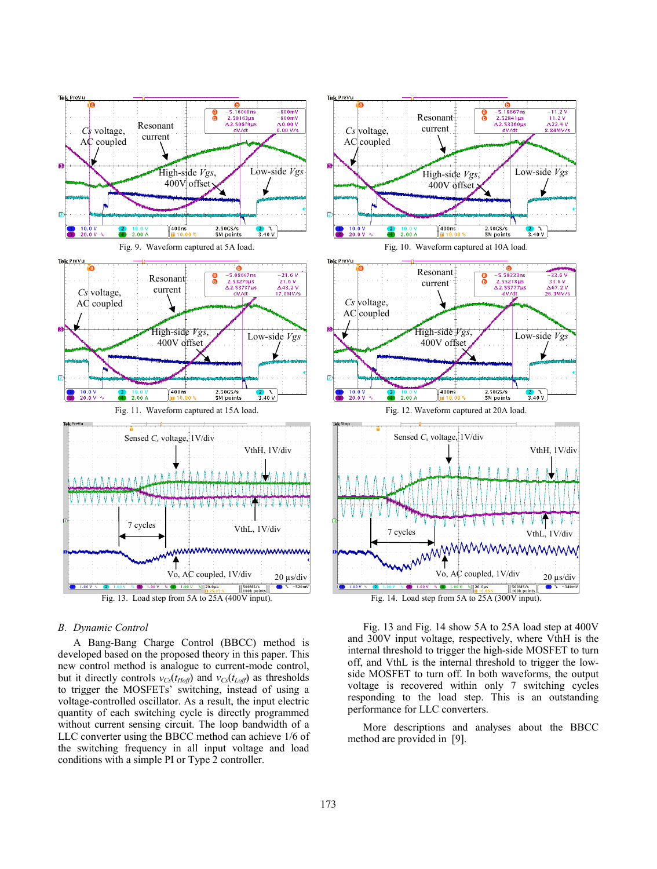

## *B. Dynamic Control*

A Bang-Bang Charge Control (BBCC) method is developed based on the proposed theory in this paper. This new control method is analogue to current -mode control, but it directly controls  $v_{Cs}(t_{Hoff})$  and  $v_{Cs}(t_{Loff})$  as thresholds to trigger the MOSFETs' switching, instead of using a voltage-controlled oscillator. As a result, the input electric quantity of each switching cycle is directly programmed without current sensing circuit. The loop b bandwidth of a LLC converter using the BBCC method can achieve 1/6 of the switching frequency in all input voltage and load conditions with a simple PI or Type 2 controller.





Fig. 13 and Fig. 14 show 5A to 25A load step at 400V and 300V input voltage, respectively, where VthH is the internal threshold to trigger the high-side MOSFET to turn off, and VthL is the internal threshold to trigger the lowside MOSFET to turn off. In both waveforms, the output voltage is recovered within only 7 switching cycles responding to the load step. This is an outstanding performance for LLC converters.

More descriptions and anal lyses about the BBCC method are provided in [9].

Tek PreVu